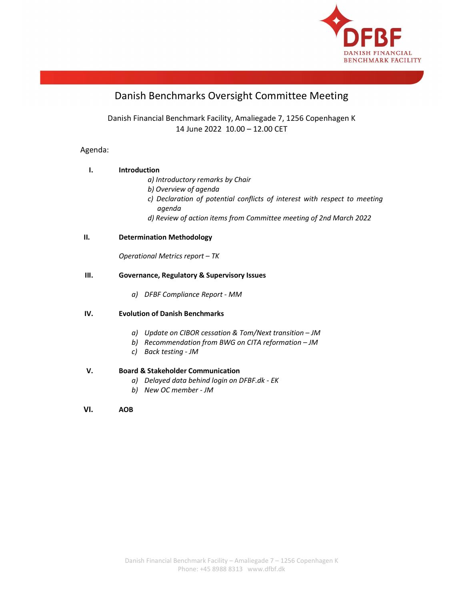

# Danish Benchmarks Oversight Committee Meeting

Danish Financial Benchmark Facility, Amaliegade 7, 1256 Copenhagen K 14 June 2022 10.00 – 12.00 CET

# Agenda:

# I. Introduction

- a) Introductory remarks by Chair
- b) Overview of agenda
- c) Declaration of potential conflicts of interest with respect to meeting agenda
- d) Review of action items from Committee meeting of 2nd March 2022

# II. Determination Methodology

Operational Metrics report – TK

# III. Governance, Regulatory & Supervisory Issues

a) DFBF Compliance Report - MM

# IV. Evolution of Danish Benchmarks

- a) Update on CIBOR cessation & Tom/Next transition JM
- b) Recommendation from BWG on CITA reformation JM
- c) Back testing JM

# V. Board & Stakeholder Communication

- a) Delayed data behind login on DFBF.dk EK
- b) New OC member JM

### VI. AOB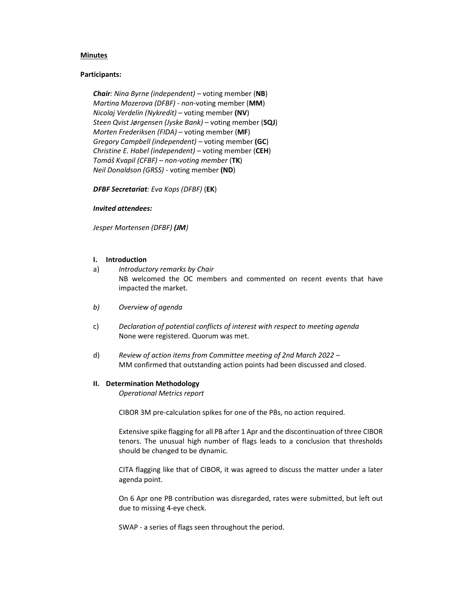### Minutes

### Participants:

Chair: Nina Byrne (independent) – voting member (NB) Martina Mozerova (DFBF) - non-voting member (MM) Nicolaj Verdelin (Nykredit) – voting member (NV) Steen Qvist Jørgensen (Jyske Bank) – voting member (SQJ) Morten Frederiksen (FIDA) – voting member (MF) Gregory Campbell (independent) – voting member (GC) Christine E. Habel (independent) – voting member (CEH) Tomáš Kvapil (CFBF) – non-voting member (TK) Neil Donaldson (GRSS) - voting member (ND)

DFBF Secretariat: Eva Kops (DFBF) (EK)

#### Invited attendees:

Jesper Mortensen (DFBF) (JM)

#### I. Introduction

- a) Introductory remarks by Chair NB welcomed the OC members and commented on recent events that have impacted the market.
- b) Overview of agenda
- c) Declaration of potential conflicts of interest with respect to meeting agenda None were registered. Quorum was met.
- d) Review of action items from Committee meeting of 2nd March 2022 MM confirmed that outstanding action points had been discussed and closed.

#### II. Determination Methodology

Operational Metrics report

CIBOR 3M pre-calculation spikes for one of the PBs, no action required.

Extensive spike flagging for all PB after 1 Apr and the discontinuation of three CIBOR tenors. The unusual high number of flags leads to a conclusion that thresholds should be changed to be dynamic.

CITA flagging like that of CIBOR, it was agreed to discuss the matter under a later agenda point.

On 6 Apr one PB contribution was disregarded, rates were submitted, but left out due to missing 4-eye check.

SWAP - a series of flags seen throughout the period.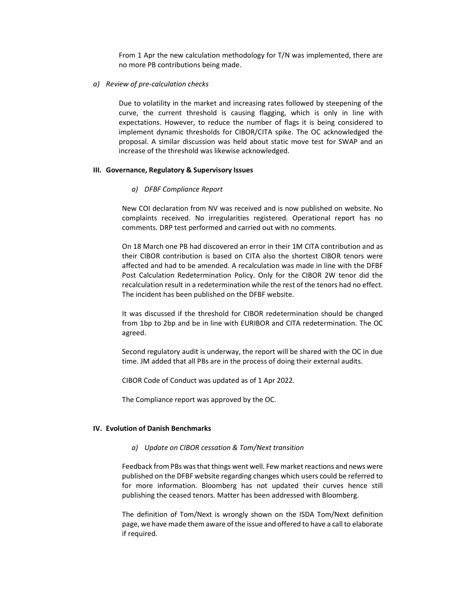From 1 Apr the new calculation methodology for T/N was implemented, there are no more PB contributions being made.

a) Review of pre-calculation checks

Due to volatility in the market and increasing rates followed by steepening of the curve, the current threshold is causing flagging, which is only in line with expectations. However, to reduce the number of flags it is being considered to implement dynamic thresholds for CIBOR/CITA spike. The OC acknowledged the proposal. A similar discussion was held about static move test for SWAP and an increase of the threshold was likewise acknowledged.

#### III. Governance, Regulatory & Supervisory Issues

#### a) DFBF Compliance Report

New COI declaration from NV was received and is now published on website. No complaints received. No irregularities registered. Operational report has no comments. DRP test performed and carried out with no comments.

On 18 March one PB had discovered an error in their 1M CITA contribution and as their CIBOR contribution is based on CITA also the shortest CIBOR tenors were affected and had to be amended. A recalculation was made in line with the DFBF Post Calculation Redetermination Policy. Only for the CIBOR 2W tenor did the recalculation result in a redetermination while the rest of the tenors had no effect. The incident has been published on the DFBF website.

It was discussed if the threshold for CIBOR redetermination should be changed from 1bp to 2bp and be in line with EURIBOR and CITA redetermination. The OC agreed.

Second regulatory audit is underway, the report will be shared with the OC in due time. JM added that all PBs are in the process of doing their external audits.

CIBOR Code of Conduct was updated as of 1 Apr 2022.

The Compliance report was approved by the OC.

#### IV. Evolution of Danish Benchmarks

#### a) Update on CIBOR cessation & Tom/Next transition

Feedback from PBs was that things went well. Few market reactions and news were published on the DFBF website regarding changes which users could be referred to for more information. Bloomberg has not updated their curves hence still publishing the ceased tenors. Matter has been addressed with Bloomberg.

The definition of Tom/Next is wrongly shown on the ISDA Tom/Next definition page, we have made them aware of the issue and offered to have a call to elaborate if required.